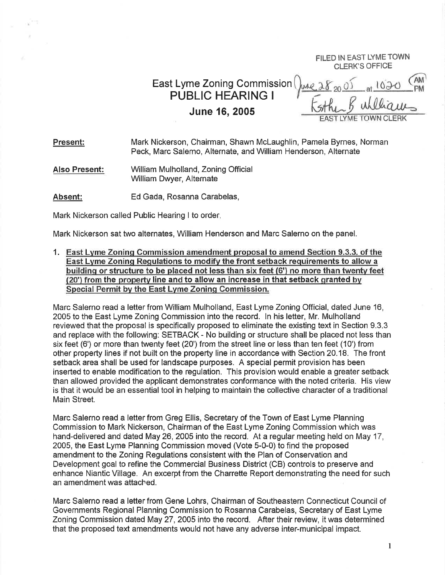FILED IN EAST LYMETOWN CLERK'S OFFICE

East Lyme Zoning Commission PUBLIC HEARING <sup>I</sup> June 16,2005

AM CLERK

Present: Mark Nickerson, Chairman, Shawn Mclaughlin, Pamela Byrnes, Norman Peck, Marc Salerno, Alternate, and William Henderson, Alternate

Also Present: William Mulholland, Zoning Official William Dwyer, Alternate

Absent: Ed Gada, Rosanna Carabelas,

Mark Nickerson called Public Hearing I to order

Mark Nickerson sat two alternates, William Henderson and Marc Salerno on the panel.

1. East Lvme Zoninq Commission amendment proposal to amend Section 9.3.3. of the East Lvme Zoninq Requlations to modifv the front setback requirements to allow a building or structure to be placed not less than six feet (6') no more than twentv feet  $(20)$  from the property line and to allow an increase in that setback granted by Special Permit bv the East Lvme Zoninq Gommission.

Marc Salerno read a letter from William Mulholland, East Lyme Zoning Official, dated June 16, 2005 to the East Lyme Zoning Commission into the record. ln his letter, Mr. Mulholland reviewed that the proposal is specifically proposed to eliminate the existing text in Section 9.3.3 and replace with the following: SETBACK - No building or structure shall be placed not less than six feet (6') or more than twenty feet (20') from the street line or less than ten feet (10') from other property lines if not built on the property line in accordance with Section20.18. The front setback area shall be used for landscape purposes, A special permit provision has been inserted to enable modification to the regulation. This provision would enable a greater setback than allowed provided the applicant demonstrates conformance with the noted criteria. His view is that it would be an essential tool in helping to maintain the collective character of a traditional Main Street.

Marc Salerno read a letter from Greg Ellis, Secretary of the Town of East Lyme Planning Commission to Mark Nickerson, Chairman of the East Lyme Zoning Commission which was hand-delivered and dated May 26, 2005 into the record. At a regular meeting held on May 17, 2005, the East Lyme Planning Commission moved (Vote 5-0-0) to find the proposed amendment to the Zoning Regulations consistent with the Plan of Conservation and Development goal to refine the Commercial Business District (CB) controls to preserve and enhance Niantic Village. An excerpt from the Charrette Report demonstrating the need for such an amendment was attached.

Marc Salerno read a letter from Gene Lohrs, Chairman of Southeastern Connecticut Council of Governments Regional Planning Commission to Rosanna Carabelas, Secretary of East Lyme Zoning Commission dated May 27,2005 into the record. After their review, it was determined that the proposed text amendments would not have any adverse inter-municipal impact.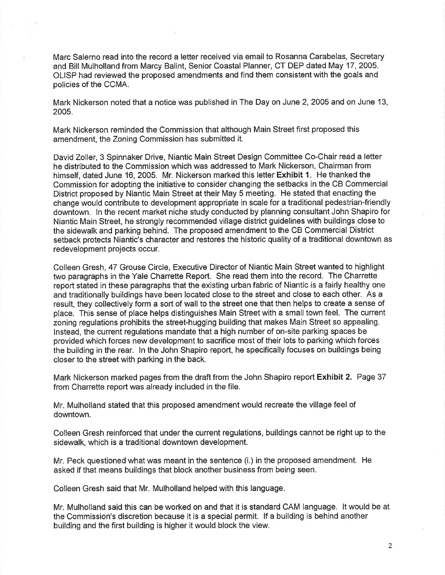Marc Salerno read into the record a letter received via email to Rosanna Carabelas, Secretary and Bill Mulholland from Marcy Balint, Senior Coastal Planner, CT DEP dated May 17,2005. OLISP had reviewed the proposed amendments and find them consistent with the goals and policies of the CCMA.

Mark Nickerson noted that a notice was published in The Day on June 2, 2OOS and on June 13, 2005.

Mark Nickerson reminded the Commission that although Main Street first proposed this amendment, the Zoning Commission has submitted it.

David Zoller,3 Spinnaker Drive, Niantic Main Street Design Committee Co-Chair read a letter he distributed to the Commission which was addressed to Mark Nickerson, Chairman from himself, dated June 16, 2005. Mr. Nickerson marked this letter Exhibit 1. He thanked the Commission for adopting the initiative to consider changing the setbacks in the CB Commercial District proposed by Niantic Main Street at their May 5 meeting. He stated that enacting the change would contribute to development appropriate in scale for a traditional pedestrian-friendly downtown. ln the recent market niche study conducted by planning consultant John Shapiro for Niantic Main Street, he strongly recommended village district guidelines with buildings close to the sidewalk and parking behind. The proposed amendment to the CB Commercial District setback protects Niantic's character and restores the historic quality of a traditional downtown as redevelopment projects occur.

Colleen Gresh, 47 Grouse Circle, Executive Director of Niantic Main Street wanted to highlight two paragraphs in the Yale Charrette Report. She read them into the record. The Charrette report stated in these paragraphs that the existing urban fabric of Niantic is a fairly healthy one and traditionally buildings have been located close to the street and close to each other. As a result, they collectively form a sort of wall to the street one that then helps to create a sense of place. This sense of place helps distinguishes Main Street with a small town feel. The current zoning regulations prohibits the street-hugging building that makes Main Street so appealing. lnstead, the current regulations mandate that a high number of on-site parking spaces be provided which forces new development to sacrifice most of their lots to parking which forces the building in the rear. ln the John Shapiro report, he specifically focuses on buildings being closer to the street with parking in the back.

Mark Nickerson marked pages from the draft from the John Shapiro report Exhibit 2. Page <sup>37</sup> from Charrette report was already included in the file.

Mr. Mulholland stated that this proposed amendment would recreate the village feel of downtown.

Colleen Gresh reinforced that under the current regulations, buildings cannot be right up to the sidewalk, which is a traditional downtown development.

Mr. Peck questioned what was meant in the sentence (i.) in the proposed amendment. He asked if that means buildings that block another business from being seen.

Colleen Gresh said that Mr. Mulholland helped with this language.

Mr. Mulholland said this can be worked on and that it is standard CAM language. lt would be at the Commission's discretion because it is a special permit. lf a building is behind another building and the first building is higher it would block the view.

2